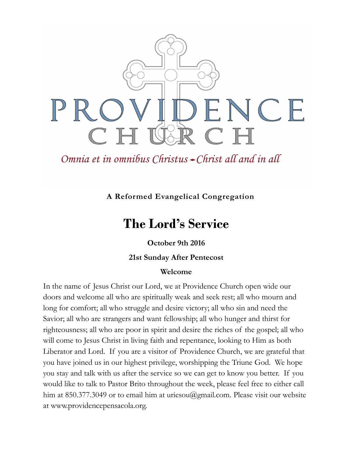

Omnia et in omnibus Christus - Christ all and in all

**A Reformed Evangelical Congregation**

# **The Lord's Service**

**October 9th 2016**

## **21st Sunday After Pentecost**

## **Welcome**

In the name of Jesus Christ our Lord, we at Providence Church open wide our doors and welcome all who are spiritually weak and seek rest; all who mourn and long for comfort; all who struggle and desire victory; all who sin and need the Savior; all who are strangers and want fellowship; all who hunger and thirst for righteousness; all who are poor in spirit and desire the riches of the gospel; all who will come to Jesus Christ in living faith and repentance, looking to Him as both Liberator and Lord. If you are a visitor of Providence Church, we are grateful that you have joined us in our highest privilege, worshipping the Triune God. We hope you stay and talk with us after the service so we can get to know you better. If you would like to talk to Pastor Brito throughout the week, please feel free to either call him at 850.377.3049 or to email him at uriesou@gmail.com. Please visit our website at www.providencepensacola.org.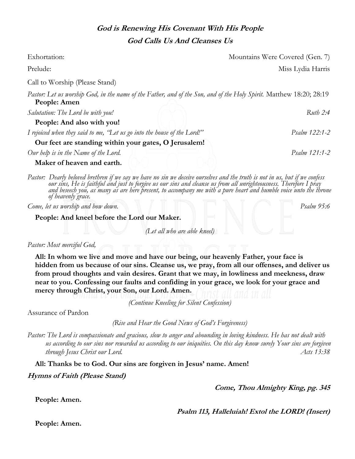# **God is Renewing His Covenant With His People God Calls Us And Cleanses Us**

| Exhortation:                                                                                                                                                                                                                     | Mountains Were Covered (Gen. 7) |
|----------------------------------------------------------------------------------------------------------------------------------------------------------------------------------------------------------------------------------|---------------------------------|
| Prelude:                                                                                                                                                                                                                         | Miss Lydia Harris               |
| Call to Worship (Please Stand)                                                                                                                                                                                                   |                                 |
| Pastor: Let us worship God, in the name of the Father, and of the Son, and of the Holy Spirit. Matthew 18:20; 28:19<br>People: Amen                                                                                              |                                 |
| Salutation: The Lord be with you!                                                                                                                                                                                                | $R$ uth 2:4                     |
| People: And also with you!                                                                                                                                                                                                       |                                 |
| I rejoiced when they said to me, "Let us go into the house of the Lord!"                                                                                                                                                         | Psalm 122:1-2                   |
| Our feet are standing within your gates, O Jerusalem!                                                                                                                                                                            |                                 |
| Our help is in the Name of the Lord.                                                                                                                                                                                             | Psalm 121:1-2                   |
| Maker of heaven and earth.                                                                                                                                                                                                       |                                 |
| Pastor: Dearly beloved brethren if we say we have no sin we deceive ourselves and the truth is not in us, but if we confess<br>our sins, He is faithful and just to forgive us our sins and cleanse us from all unrighteousness. |                                 |

*and beseech you, as many as are here present, to accompany me with a pure heart and humble voice unto the throne of heavenly grace.*

*Come, let us worship and bow down. Psalm 95:6*

**People: And kneel before the Lord our Maker.**

*(Let all who are able kneel)*

*Pastor: Most merciful God,*

**All: In whom we live and move and have our being, our heavenly Father, your face is hidden from us because of our sins. Cleanse us, we pray, from all our offenses, and deliver us from proud thoughts and vain desires. Grant that we may, in lowliness and meekness, draw near to you. Confessing our faults and confiding in your grace, we look for your grace and mercy through Christ, your Son, our Lord. Amen.**

*(Continue Kneeling for Silent Confession)*

Assurance of Pardon

*(Rise and Hear the Good News of God's Forgiveness)*

*Pastor: The Lord is compassionate and gracious, slow to anger and abounding in loving kindness. He has not dealt with us according to our sins nor rewarded us according to our iniquities. On this day know surely Your sins are forgiven through Jesus Christ our Lord. Acts 13:38*

**All: Thanks be to God. Our sins are forgiven in Jesus' name. Amen!**

**Hymns of Faith (Please Stand)** 

**Come, Thou Almighty King, pg. 345**

**People: Amen.**

**Psalm 113, Halleluiah! Extol the LORD! (Insert)**

**People: Amen.**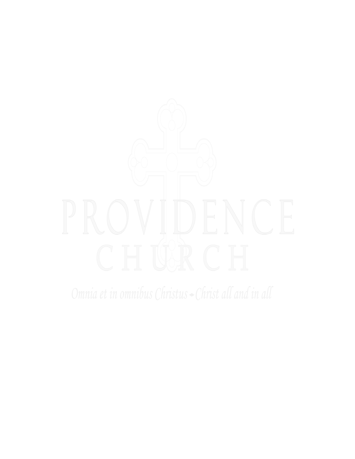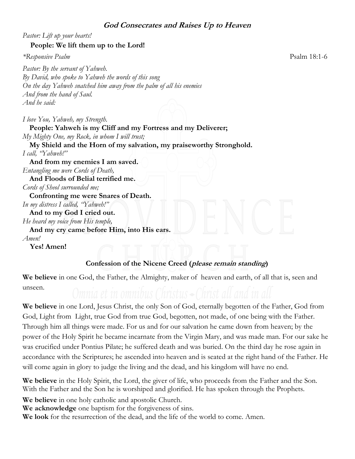### **God Consecrates and Raises Up to Heaven**

*Pastor: Lift up your hearts!*

### **People: We lift them up to the Lord!**

*\*Responsive Psalm* Psalm 18:1-6

*Pastor: By the servant of Yahweh. By David, who spoke to Yahweh the words of this song On the day Yahweh snatched him away from the palm of all his enemies And from the hand of Saul. And he said:* 

*I love You, Yahweh, my Strength.*

## **People: Yahweh is my Cliff and my Fortress and my Deliverer;** *My Mighty One, my Rock, in whom I will trust;* **My Shield and the Horn of my salvation, my praiseworthy Stronghold.** *I call, "Yahweh!"* **And from my enemies I am saved.**  *Entangling me were Cords of Death,* **And Floods of Belial terrified me.**  *Cords of Sheol surrounded me;* **Confronting me were Snares of Death.** *In my distress I called, "Yahweh!"* **And to my God I cried out.**  *He heard my voice from His temple,*  **And my cry came before Him, into His ears.**  *Amen!*

**Yes! Amen!**

## **Confession of the Nicene Creed (please remain standing)**

**We believe** in one God, the Father, the Almighty, maker of heaven and earth, of all that is, seen and unseen.

**We believe** in one Lord, Jesus Christ, the only Son of God, eternally begotten of the Father, God from God, Light from Light, true God from true God, begotten, not made, of one being with the Father. Through him all things were made. For us and for our salvation he came down from heaven; by the power of the Holy Spirit he became incarnate from the Virgin Mary, and was made man. For our sake he was crucified under Pontius Pilate; he suffered death and was buried. On the third day he rose again in accordance with the Scriptures; he ascended into heaven and is seated at the right hand of the Father. He will come again in glory to judge the living and the dead, and his kingdom will have no end.

**We believe** in the Holy Spirit, the Lord, the giver of life, who proceeds from the Father and the Son. With the Father and the Son he is worshiped and glorified. He has spoken through the Prophets.

**We believe** in one holy catholic and apostolic Church.

**We acknowledge** one baptism for the forgiveness of sins.

**We look** for the resurrection of the dead, and the life of the world to come. Amen.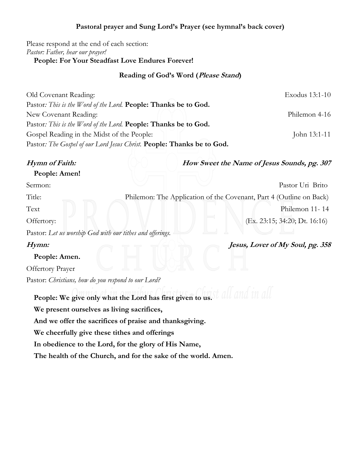#### **Pastoral prayer and Sung Lord's Prayer (see hymnal's back cover)**

Please respond at the end of each section: *Pastor: Father, hear our prayer!* **People: For Your Steadfast Love Endures Forever!**

#### **Reading of God's Word (Please Stand)**

| Old Covenant Reading:                                                  | Exodus 13:1-10 |
|------------------------------------------------------------------------|----------------|
| Pastor: This is the Word of the Lord. People: Thanks be to God.        |                |
| New Covenant Reading:                                                  | Philemon 4-16  |
| Pastor: This is the Word of the Lord. People: Thanks be to God.        |                |
| Gospel Reading in the Midst of the People:                             | John 13:1-11   |
| Pastor: The Gospel of our Lord Jesus Christ. People: Thanks be to God. |                |

**Hymn of Faith: How Sweet the Name of Jesus Sounds, pg. 307** 

#### **People: Amen!**

Sermon: Pastor Uri Brito Title: Philemon: The Application of the Covenant, Part 4 (Outline on Back) Text Philemon 11- 14 Offertory: (Ex. 23:15; 34:20; Dt. 16:16) Pastor: *Let us worship God with our tithes and offerings.* 

#### **Hymn: Jesus, Lover of My Soul, pg. 358**

#### **People: Amen.**

Offertory Prayer

Pastor: *Christians, how do you respond to our Lord?*

 **People: We give only what the Lord has first given to us. We present ourselves as living sacrifices, And we offer the sacrifices of praise and thanksgiving. We cheerfully give these tithes and offerings In obedience to the Lord, for the glory of His Name, The health of the Church, and for the sake of the world. Amen.**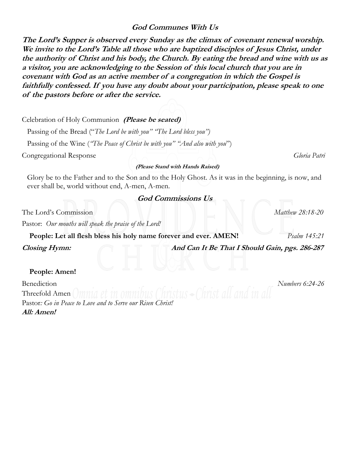## **God Communes With Us**

**The Lord's Supper is observed every Sunday as the climax of covenant renewal worship. We invite to the Lord's Table all those who are baptized disciples of Jesus Christ, under the authority of Christ and his body, the Church. By eating the bread and wine with us as a visitor, you are acknowledging to the Session of this local church that you are in covenant with God as an active member of a congregation in which the Gospel is faithfully confessed. If you have any doubt about your participation, please speak to one of the pastors before or after the service.**

Celebration of Holy Communion **(Please be seated)**

Passing of the Bread ("*The Lord be with you" "The Lord bless you")*

Passing of the Wine (*"The Peace of Christ be with you" "And also with you*")

Congregational Response *Gloria Patri* 

#### **(Please Stand with Hands Raised)**

Glory be to the Father and to the Son and to the Holy Ghost. As it was in the beginning, is now, and ever shall be, world without end, A-men, A-men.

**God Commissions Us**

The Lord's Commission *Matthew 28:18-20* 

Pastor: *Our mouths will speak the praise of the Lord!* 

 **People: Let all flesh bless his holy name forever and ever. AMEN!** *Psalm 145:21*

**Closing Hymn: And Can It Be That I Should Gain, pgs. 286-287** 

 **People: Amen!**

**Benediction**<br>**Threefold Amen** *Omnia et in omnibus Christus – Christ all and in all Numbers 6:24-26* Threefold Amen Pastor*: Go in Peace to Love and to Serve our Risen Christ!* **All: Amen!**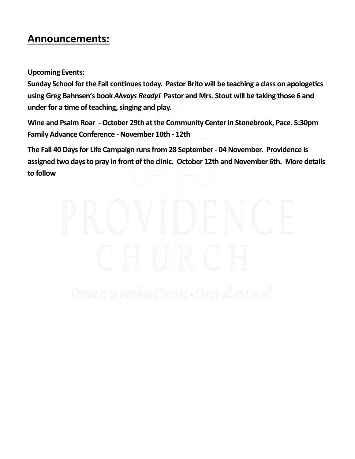# **Announcements:**

**Upcoming Events:**

**Sunday School for the Fall continues today. Pastor Brito will be teaching a class on apologetics using Greg Bahnsen's book** *Always Ready!* **Pastor and Mrs. Stout will be taking those 6 and under for a time of teaching, singing and play.**

**Wine and Psalm Roar - October 29th at the Community Center in Stonebrook, Pace. 5:30pm Family Advance Conference -November 10th - 12th**

**The Fall 40 Days for Life Campaign runs from 28 September - 04 November. Providence is assigned two days to pray in front of the clinic. October 12th and November 6th. More details to follow**